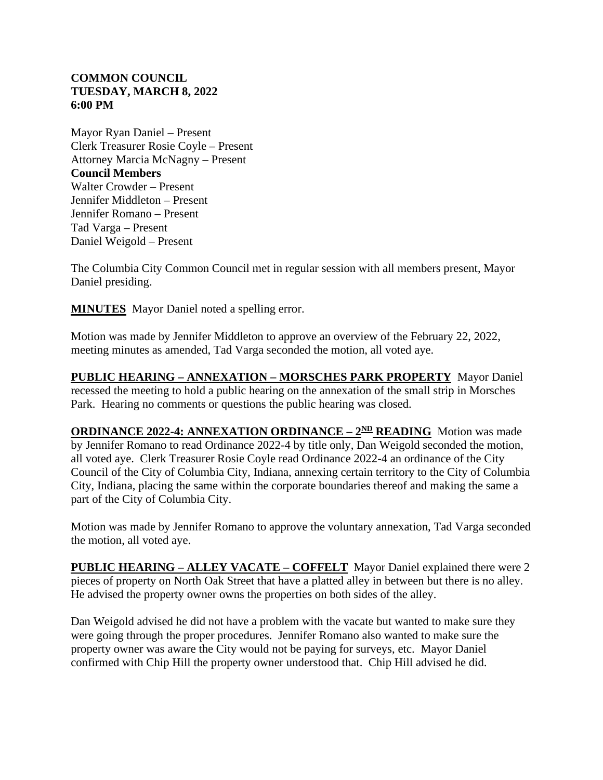## **COMMON COUNCIL TUESDAY, MARCH 8, 2022 6:00 PM**

Mayor Ryan Daniel – Present Clerk Treasurer Rosie Coyle – Present Attorney Marcia McNagny – Present **Council Members** Walter Crowder – Present Jennifer Middleton – Present Jennifer Romano – Present Tad Varga – Present Daniel Weigold – Present

The Columbia City Common Council met in regular session with all members present, Mayor Daniel presiding.

**MINUTES** Mayor Daniel noted a spelling error.

Motion was made by Jennifer Middleton to approve an overview of the February 22, 2022, meeting minutes as amended, Tad Varga seconded the motion, all voted aye.

**PUBLIC HEARING – ANNEXATION – MORSCHES PARK PROPERTY** Mayor Daniel recessed the meeting to hold a public hearing on the annexation of the small strip in Morsches Park. Hearing no comments or questions the public hearing was closed.

**ORDINANCE 2022-4: ANNEXATION ORDINANCE –**  $2^{ND}$  **<b>READING** Motion was made by Jennifer Romano to read Ordinance 2022-4 by title only, Dan Weigold seconded the motion, all voted aye. Clerk Treasurer Rosie Coyle read Ordinance 2022-4 an ordinance of the City Council of the City of Columbia City, Indiana, annexing certain territory to the City of Columbia City, Indiana, placing the same within the corporate boundaries thereof and making the same a part of the City of Columbia City.

Motion was made by Jennifer Romano to approve the voluntary annexation, Tad Varga seconded the motion, all voted aye.

**PUBLIC HEARING – ALLEY VACATE – COFFELT** Mayor Daniel explained there were 2 pieces of property on North Oak Street that have a platted alley in between but there is no alley. He advised the property owner owns the properties on both sides of the alley.

Dan Weigold advised he did not have a problem with the vacate but wanted to make sure they were going through the proper procedures. Jennifer Romano also wanted to make sure the property owner was aware the City would not be paying for surveys, etc. Mayor Daniel confirmed with Chip Hill the property owner understood that. Chip Hill advised he did.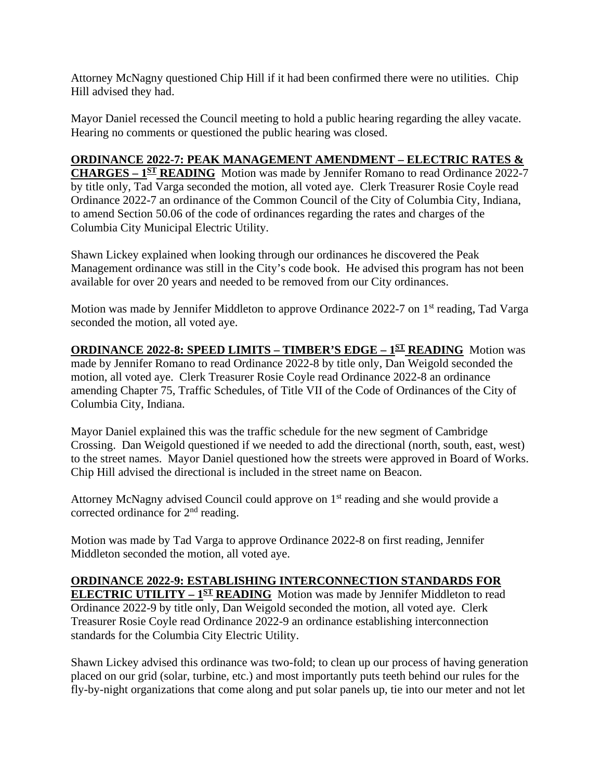Attorney McNagny questioned Chip Hill if it had been confirmed there were no utilities. Chip Hill advised they had.

Mayor Daniel recessed the Council meeting to hold a public hearing regarding the alley vacate. Hearing no comments or questioned the public hearing was closed.

## **ORDINANCE 2022-7: PEAK MANAGEMENT AMENDMENT – ELECTRIC RATES &**

**CHARGES – 1ST READING** Motion was made by Jennifer Romano to read Ordinance 2022-7 by title only, Tad Varga seconded the motion, all voted aye. Clerk Treasurer Rosie Coyle read Ordinance 2022-7 an ordinance of the Common Council of the City of Columbia City, Indiana, to amend Section 50.06 of the code of ordinances regarding the rates and charges of the Columbia City Municipal Electric Utility.

Shawn Lickey explained when looking through our ordinances he discovered the Peak Management ordinance was still in the City's code book. He advised this program has not been available for over 20 years and needed to be removed from our City ordinances.

Motion was made by Jennifer Middleton to approve Ordinance 2022-7 on 1<sup>st</sup> reading, Tad Varga seconded the motion, all voted aye.

**ORDINANCE 2022-8: SPEED LIMITS – TIMBER'S EDGE – 1ST READING** Motion was made by Jennifer Romano to read Ordinance 2022-8 by title only, Dan Weigold seconded the motion, all voted aye. Clerk Treasurer Rosie Coyle read Ordinance 2022-8 an ordinance amending Chapter 75, Traffic Schedules, of Title VII of the Code of Ordinances of the City of Columbia City, Indiana.

Mayor Daniel explained this was the traffic schedule for the new segment of Cambridge Crossing. Dan Weigold questioned if we needed to add the directional (north, south, east, west) to the street names. Mayor Daniel questioned how the streets were approved in Board of Works. Chip Hill advised the directional is included in the street name on Beacon.

Attorney McNagny advised Council could approve on 1<sup>st</sup> reading and she would provide a corrected ordinance for 2<sup>nd</sup> reading.

Motion was made by Tad Varga to approve Ordinance 2022-8 on first reading, Jennifer Middleton seconded the motion, all voted aye.

## **ORDINANCE 2022-9: ESTABLISHING INTERCONNECTION STANDARDS FOR**

**ELECTRIC UTILITY – 1<sup>ST</sup> READING** Motion was made by Jennifer Middleton to read Ordinance 2022-9 by title only, Dan Weigold seconded the motion, all voted aye. Clerk Treasurer Rosie Coyle read Ordinance 2022-9 an ordinance establishing interconnection standards for the Columbia City Electric Utility.

Shawn Lickey advised this ordinance was two-fold; to clean up our process of having generation placed on our grid (solar, turbine, etc.) and most importantly puts teeth behind our rules for the fly-by-night organizations that come along and put solar panels up, tie into our meter and not let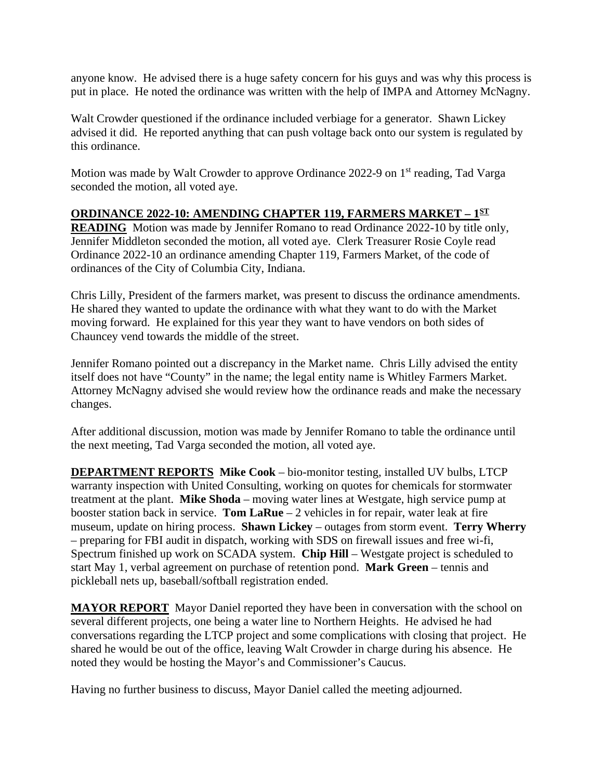anyone know. He advised there is a huge safety concern for his guys and was why this process is put in place. He noted the ordinance was written with the help of IMPA and Attorney McNagny.

Walt Crowder questioned if the ordinance included verbiage for a generator. Shawn Lickey advised it did. He reported anything that can push voltage back onto our system is regulated by this ordinance.

Motion was made by Walt Crowder to approve Ordinance 2022-9 on 1<sup>st</sup> reading, Tad Varga seconded the motion, all voted aye.

## **ORDINANCE 2022-10: AMENDING CHAPTER 119, FARMERS MARKET – 1ST**

**READING** Motion was made by Jennifer Romano to read Ordinance 2022-10 by title only, Jennifer Middleton seconded the motion, all voted aye. Clerk Treasurer Rosie Coyle read Ordinance 2022-10 an ordinance amending Chapter 119, Farmers Market, of the code of ordinances of the City of Columbia City, Indiana.

Chris Lilly, President of the farmers market, was present to discuss the ordinance amendments. He shared they wanted to update the ordinance with what they want to do with the Market moving forward. He explained for this year they want to have vendors on both sides of Chauncey vend towards the middle of the street.

Jennifer Romano pointed out a discrepancy in the Market name. Chris Lilly advised the entity itself does not have "County" in the name; the legal entity name is Whitley Farmers Market. Attorney McNagny advised she would review how the ordinance reads and make the necessary changes.

After additional discussion, motion was made by Jennifer Romano to table the ordinance until the next meeting, Tad Varga seconded the motion, all voted aye.

**DEPARTMENT REPORTS Mike Cook** – bio-monitor testing, installed UV bulbs, LTCP warranty inspection with United Consulting, working on quotes for chemicals for stormwater treatment at the plant. **Mike Shoda** – moving water lines at Westgate, high service pump at booster station back in service. **Tom LaRue** – 2 vehicles in for repair, water leak at fire museum, update on hiring process. **Shawn Lickey** – outages from storm event. **Terry Wherry** – preparing for FBI audit in dispatch, working with SDS on firewall issues and free wi-fi, Spectrum finished up work on SCADA system. **Chip Hill** – Westgate project is scheduled to start May 1, verbal agreement on purchase of retention pond. **Mark Green** – tennis and pickleball nets up, baseball/softball registration ended.

**MAYOR REPORT** Mayor Daniel reported they have been in conversation with the school on several different projects, one being a water line to Northern Heights. He advised he had conversations regarding the LTCP project and some complications with closing that project. He shared he would be out of the office, leaving Walt Crowder in charge during his absence. He noted they would be hosting the Mayor's and Commissioner's Caucus.

Having no further business to discuss, Mayor Daniel called the meeting adjourned.